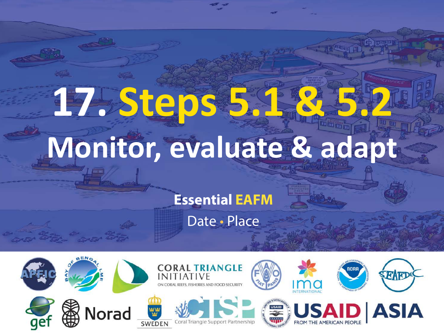# **17. Steps 5.1 & 5.2 Monitor, evaluate & adapt**

#### **Essential EAFM**

Date • Place

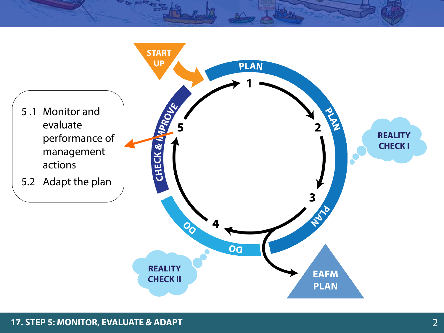

#### **17. STEP 5: MONITOR, EVALUATE & ADAPT** 2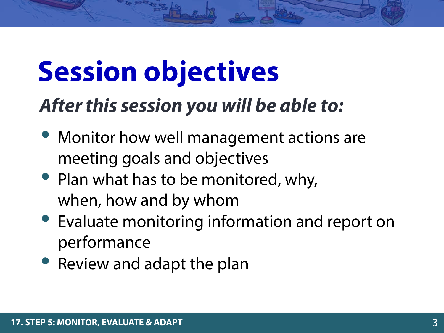## **Session objectives**

### *After this session you will be able to:*

- Monitor how well management actions are meeting goals and objectives
- Plan what has to be monitored, why, when, how and by whom
- Evaluate monitoring information and report on performance
- Review and adapt the plan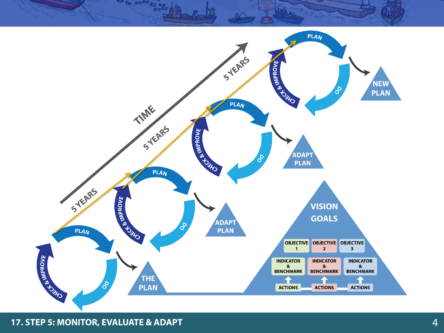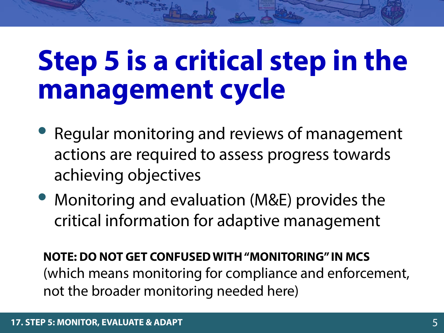## **Step 5 is a critical step in the management cycle**

- Regular monitoring and reviews of management actions are required to assess progress towards achieving objectives
- Monitoring and evaluation (M&E) provides the critical information for adaptive management

**NOTE: DO NOT GET CONFUSED WITH "MONITORING" IN MCS** (which means monitoring for compliance and enforcement, not the broader monitoring needed here)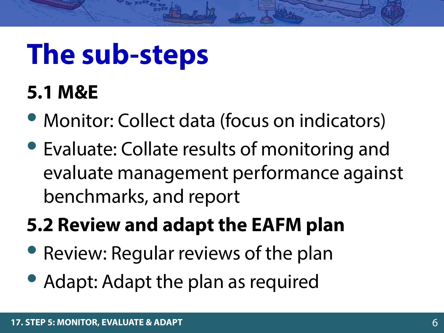## **The sub-steps**

#### **5.1 M&E**

- Monitor: Collect data (focus on indicators)
- Evaluate: Collate results of monitoring and evaluate management performance against benchmarks, and report

### **5.2 Review and adapt the EAFM plan**

- Review: Regular reviews of the plan
- Adapt: Adapt the plan as required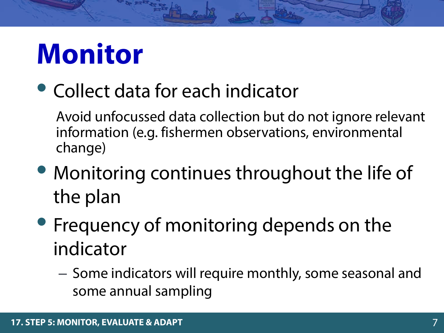## **Monitor**

### • Collect data for each indicator

Avoid unfocussed data collection but do not ignore relevant information (e.g. fishermen observations, environmental change)

- Monitoring continues throughout the life of the plan
- Frequency of monitoring depends on the indicator
	- Some indicators will require monthly, some seasonal and some annual sampling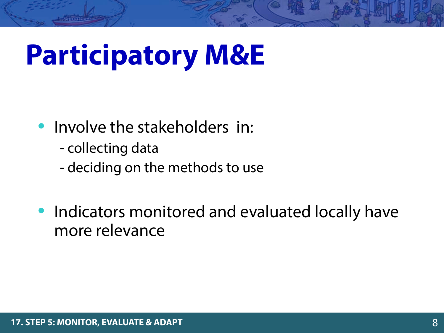## **Participatory M&E**

- Involve the stakeholders in:
	- collecting data
	- deciding on the methods to use
- Indicators monitored and evaluated locally have more relevance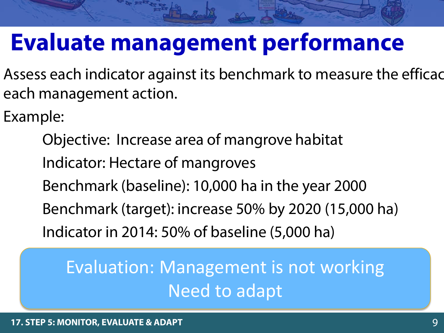### **Evaluate management performance**

Assess each indicator against its benchmark to measure the efficac each management action.

Example:

Objective: Increase area of mangrove habitat Indicator: Hectare of mangroves Benchmark (baseline): 10,000 ha in the year 2000 Benchmark (target): increase 50% by 2020 (15,000 ha) Indicator in 2014: 50% of baseline (5,000 ha)

Evaluation: Management is not working Need to adapt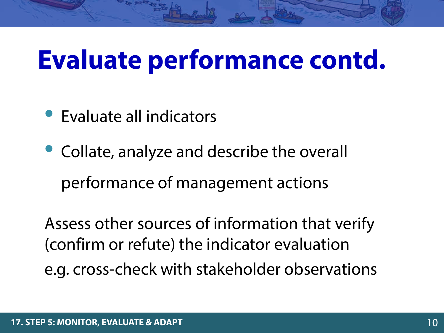### **Evaluate performance contd.**

- Evaluate all indicators
- Collate, analyze and describe the overall performance of management actions

Assess other sources of information that verify (confirm or refute) the indicator evaluation e.g. cross-check with stakeholder observations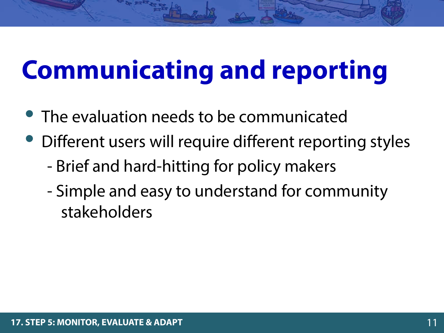## **Communicating and reporting**

- The evaluation needs to be communicated
- Different users will require different reporting styles
	- Brief and hard-hitting for policy makers
	- Simple and easy to understand for community stakeholders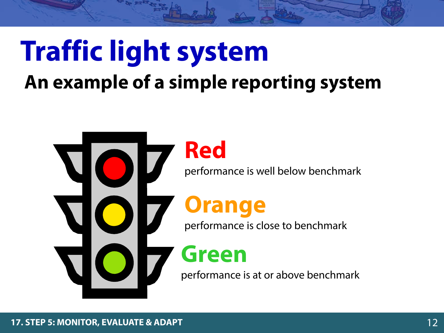## **Traffic light system**

#### **An example of a simple reporting system**

**Red** performance is well below benchmark **Orange** performance is close to benchmark **Green** performance is at or above benchmark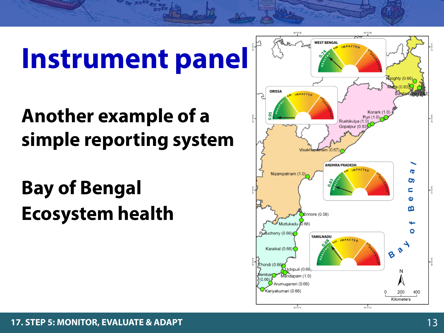## **Instrument panel**

### **Another example of a simple reporting system**

**Bay of Bengal Ecosystem health**

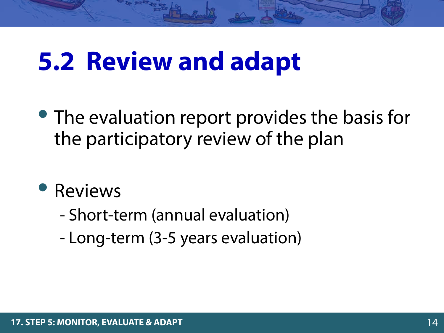### **5.2 Review and adapt**

- The evaluation report provides the basis for the participatory review of the plan
- **Reviews** 
	- Short-term (annual evaluation)
	- Long-term (3-5 years evaluation)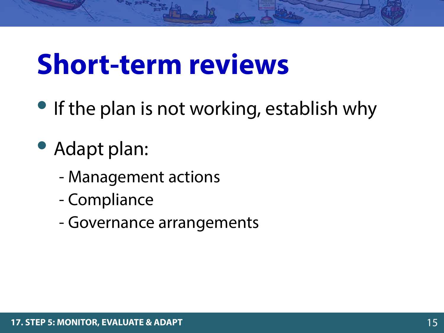## **Short-term reviews**

- If the plan is not working, establish why
- Adapt plan:
	- Management actions
	- Compliance
	- Governance arrangements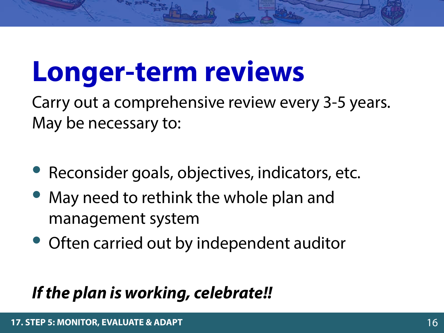## **Longer-term reviews**

Carry out a comprehensive review every 3-5 years. May be necessary to:

- Reconsider goals, objectives, indicators, etc.
- May need to rethink the whole plan and management system
- Often carried out by independent auditor

#### *If the plan is working, celebrate!!*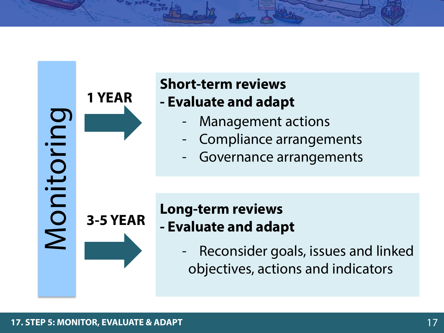**1 YEAR**

**3-5 YEAR**

Monitoring

Monitoring

#### **Short-term reviews - Evaluate and adapt**

- Management actions
- Compliance arrangements
- Governance arrangements

#### **Long-term reviews - Evaluate and adapt**

Reconsider goals, issues and linked objectives, actions and indicators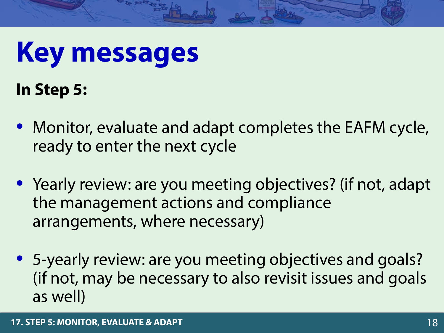## **Key messages**

**In Step 5:**

- Monitor, evaluate and adapt completes the EAFM cycle, ready to enter the next cycle
- Yearly review: are you meeting objectives? (if not, adapt the management actions and compliance arrangements, where necessary)
- 5-yearly review: are you meeting objectives and goals? (if not, may be necessary to also revisit issues and goals as well)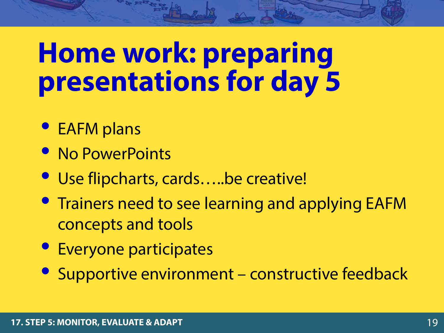## **Home work: preparing presentations for day 5**

- EAFM plans
- No PowerPoints
- Use flipcharts, cards....be creative!
- Trainers need to see learning and applying EAFM concepts and tools
- Everyone participates
- Supportive environment constructive feedback